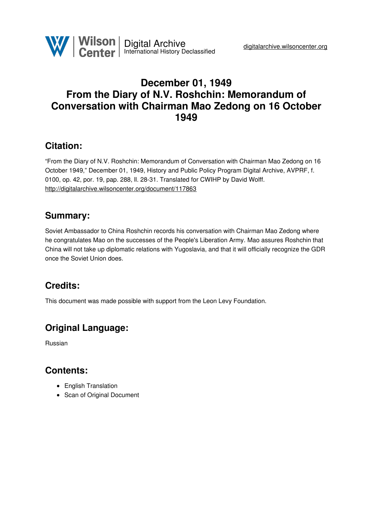

## **December 01, 1949 From the Diary of N.V. Roshchin: Memorandum of Conversation with Chairman Mao Zedong on 16 October 1949**

## **Citation:**

"From the Diary of N.V. Roshchin: Memorandum of Conversation with Chairman Mao Zedong on 16 October 1949," December 01, 1949, History and Public Policy Program Digital Archive, AVPRF, f. 0100, op. 42, por. 19, pap. 288, ll. 28-31. Translated for CWIHP by David Wolff. <http://digitalarchive.wilsoncenter.org/document/117863>

## **Summary:**

Soviet Ambassador to China Roshchin records his conversation with Chairman Mao Zedong where he congratulates Mao on the successes of the People's Liberation Army. Mao assures Roshchin that China will not take up diplomatic relations with Yugoslavia, and that it will officially recognize the GDR once the Soviet Union does.

# **Credits:**

This document was made possible with support from the Leon Levy Foundation.

# **Original Language:**

Russian

## **Contents:**

- English Translation
- Scan of Original Document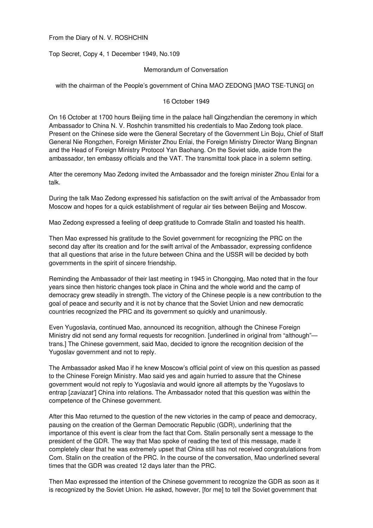From the Diary of N. V. ROSHCHIN

Top Secret, Copy 4, 1 December 1949, No.109

#### Memorandum of Conversation

with the chairman of the People's government of China MAO ZEDONG [MAO TSE-TUNG] on

#### 16 October 1949

On 16 October at 1700 hours Beijing time in the palace hall Qingzhendian the ceremony in which Ambassador to China N. V. Roshchin transmitted his credentials to Mao Zedong took place. Present on the Chinese side were the General Secretary of the Government Lin Boju, Chief of Staff General Nie Rongzhen, Foreign Minister Zhou Enlai, the Foreign Ministry Director Wang Bingnan and the Head of Foreign Ministry Protocol Yan Baohang. On the Soviet side, aside from the ambassador, ten embassy officials and the VAT. The transmittal took place in a solemn setting.

After the ceremony Mao Zedong invited the Ambassador and the foreign minister Zhou Enlai for a talk.

During the talk Mao Zedong expressed his satisfaction on the swift arrival of the Ambassador from Moscow and hopes for a quick establishment of regular air ties between Beijing and Moscow.

Mao Zedong expressed a feeling of deep gratitude to Comrade Stalin and toasted his health.

Then Mao expressed his gratitude to the Soviet government for recognizing the PRC on the second day after its creation and for the swift arrival of the Ambassador, expressing confidence that all questions that arise in the future between China and the USSR will be decided by both governments in the spirit of sincere friendship.

Reminding the Ambassador of their last meeting in 1945 in Chongqing, Mao noted that in the four years since then historic changes took place in China and the whole world and the camp of democracy grew steadily in strength. The victory of the Chinese people is a new contribution to the goal of peace and security and it is not by chance that the Soviet Union and new democratic countries recognized the PRC and its government so quickly and unanimously.

Even Yugoslavia, continued Mao, announced its recognition, although the Chinese Foreign Ministry did not send any formal requests for recognition. [underlined in original from "although" trans.] The Chinese government, said Mao, decided to ignore the recognition decision of the Yugoslav government and not to reply.

The Ambassador asked Mao if he knew Moscow's official point of view on this question as passed to the Chinese Foreign Ministry. Mao said yes and again hurried to assure that the Chinese government would not reply to Yugoslavia and would ignore all attempts by the Yugoslavs to entrap [*zaviazat'*] China into relations. The Ambassador noted that this question was within the competence of the Chinese government.

After this Mao returned to the question of the new victories in the camp of peace and democracy, pausing on the creation of the German Democratic Republic (GDR), underlining that the importance of this event is clear from the fact that Com. Stalin personally sent a message to the president of the GDR. The way that Mao spoke of reading the text of this message, made it completely clear that he was extremely upset that China still has not received congratulations from Com. Stalin on the creation of the PRC. In the course of the conversation, Mao underlined several times that the GDR was created 12 days later than the PRC.

Then Mao expressed the intention of the Chinese government to recognize the GDR as soon as it is recognized by the Soviet Union. He asked, however, [for me] to tell the Soviet government that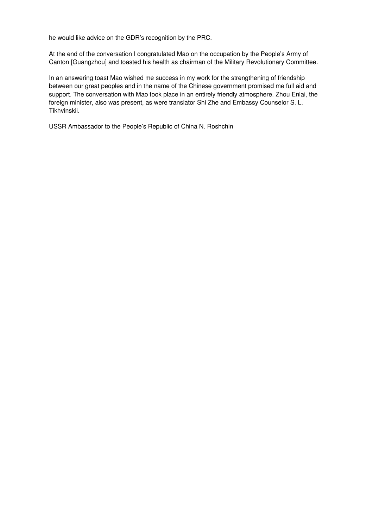he would like advice on the GDR's recognition by the PRC.

At the end of the conversation I congratulated Mao on the occupation by the People's Army of Canton [Guangzhou] and toasted his health as chairman of the Military Revolutionary Committee.

In an answering toast Mao wished me success in my work for the strengthening of friendship between our great peoples and in the name of the Chinese government promised me full aid and support. The conversation with Mao took place in an entirely friendly atmosphere. Zhou Enlai, the foreign minister, also was present, as were translator Shi Zhe and Embassy Counselor S. L. Tikhvinskii.

USSR Ambassador to the People's Republic of China N. Roshchin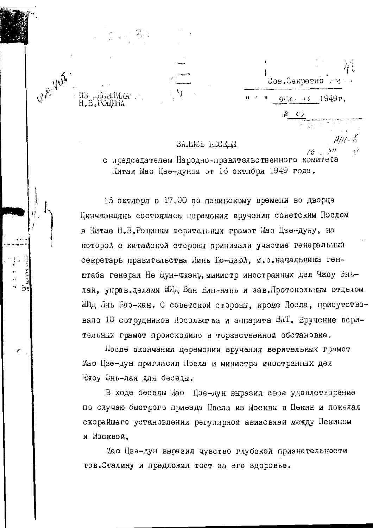Сов. Секретно .  $\mathbf{H}^{\dagger}$  ,  $\mathbf{H}^{\dagger}$  ,  $\mathbf{H}^{\dagger}$  ,  $\mathbf{H}^{\dagger}$  $90K + 11949r$ .

 $16$ 

 $X$ //

### BAILICE EECELIM

G. E. Yerk.

M3 HelddWKA:<br>H.B.POWWHA

с председателем Народно-правительственного комитета Китая Мао Цзе-дуном от 10 октября 1949 года.

16 октября в 17.00 по пекинскому времени во дворце Цинчжэндянь состоялась церемония вручения советским Послом в Китае Н.В. Рощиным верительных грамот Мао Цзе-дуну, на которой с китайской стороны принимали участие генеральный секретарь правительства Линь Бо-цзюй, и.о. начальника генштаба генерал Не Жун-чжэнь, министр иностранных дел Чжоу Эньлай, управ.делами МИд Ван Бин-нань и зав.Протокольным отделом МИД Лнь Бао-хан. С советской стороны, кроме Посла, присутствовало 10 сотрудников Посольства и аппарата ВАТ. Вручение верительных грамот происходило в торжественной обстановке.

После окончания церемонии вручения верительных грамот Мао Цзе-дун пригласил Посла и министра иностранных дел Чжоу Энь-лая для беседы.

В ходе беседы Мао Цзе-дун выразил свое удовлетворение по случаю быстрого приезда Посла из Москвы в Пекин и пожелал скорейшего установления регулярной авиасвязи между Пекином и Москвой.

Мао Цзе-дун выразил чувство глубокой признательности тов. Сталину и предложил тост за его здоровье.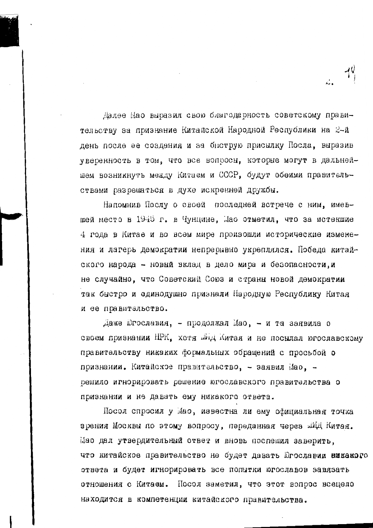Далее Мао выразил свою благодарность советскому правительству за признание Китайской Народной Республики на 2-й день после ее создания и за быструю присылку Посла, выразив уверенность в том, что все вопросы, которые могут в дальнейшем возникнуть между Китаем и СССР, будут обеими правительствами разрешаться в духе искренней дружбы.

Напомнив Послу о своей последней встрече с ним, имевшей место в 1945 г. в Чунцине, Лао отметил, что за истекшие 4 года в Китае и во всем мире произошли исторические изменения и лагерь демократии непрернвно укреплялся. Победа китайского народа - новый вклад в дело мира и безопасности, и не случайно, что Советский Союз и страны новой демократии так быстро и единодушно признали Народную Республику Китая и ее правительство.

Даже Шгославия, - продолжал Мао, - и та заявила о своем признании НРК, хотя был Китая и не посылал югославскому правительству никаких формальных обращений с просьбой о признании. Китайское правительство, - заявил Мао, решило игнорировать решение югославского правительства о признании и не давать ему никакого ответа.

Посол спросил у Мао, известна ли ему официальная точка зрения Москвы по этому вопросу, переданная через ШИД Китая. Мао дал утвердительный ответ и вновь поспешил заверить. что китайское правительство не будет давать Югославии никакого ответа и будет игнорировать все попытки югославов завязать отношения с Китаем. Посол заметил, что этот вопрос всецело находится в компетенции китайского правительства.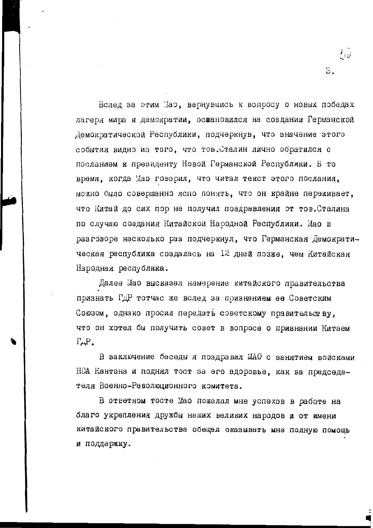Вслед за этим Маэ, вернувшись к вопросу о новых победах лагеря мира и демократии, оснановился на создании Германской Демократической Республики, подчеркнув, что значение этого события видно из того, что тов. Сталин лично обратился с посланием к президенту Новой Германской Республики. В то время, когда Мао говорил, что читал текст этого послания, можно было совершенно ясно понять, что он крайне переживает, что Китай до сих пор не получил поздравления от тов. Сталина по случаю создания Китайской Народной Республики. Мао в разговоре насколько раз подчеркнул, что Германская Демократическая республика создалась на 12 дней позже, чем Китайская Народная республика.

わび

З.

Далее Мао высказал намерение китайского правительства признать ГДР тотчас же вслед за признанием ее Советским Союзом, однако просил передать советскому правительству, что он хотел бы получить совет в вопросе о признании Китаем  $\Gamma \perp P$ 

В заключение беседы я поздравил МАО с занятием войсками НОА Кантона и поднял тост за его здоровье, как за председателя Военно-Революционного комитета.

В ответном тосте Мао пожелал мне успехов в работе на благо укрепления дружбы наших великих народов и от имени китайского правительства обещал оказывать мне полную помощь и поддержку.